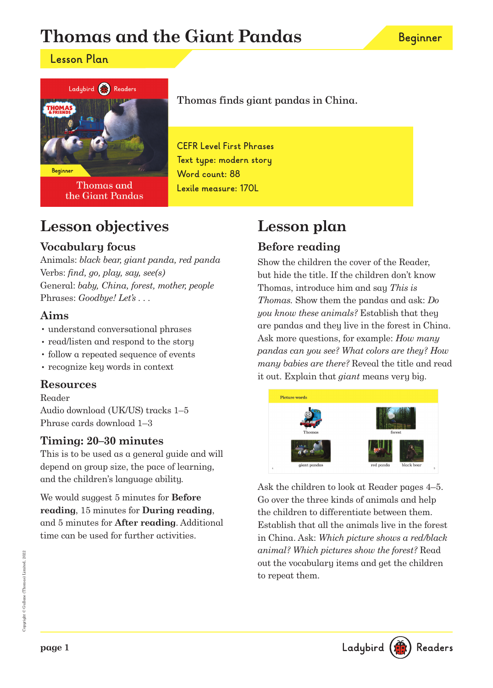# **Thomas and the Giant Pandas**

### **Lesson Plan**



**Thomas and** the Giant Pandas

Thomas finds giant pandas in China.

**CEFR Level First Phrases Text type: modern story Word count: 88 Lexile measure: 170L**

## **Lesson objectives**

### **Vocabulary focus**

Animals: black bear, giant panda, red panda Verbs: find, go, play, say, see(s) General: baby, China, forest, mother, people Phrases: Goodbye! Let's ...

### **Aims**

- understand conversational phrases
- read/listen and respond to the story
- follow a repeated sequence of events
- recognize key words in context

### **Resources**

#### Reader

Audio download (UK/US) tracks 1–5 Phrase cards download 1–3

### **Timing: 20–30 minutes**

This is to be used as a general guide and will depend on group size, the pace of learning, and the children's language ability.

We would suggest 5 minutes for **Before reading**, 15 minutes for **During reading**, and 5 minutes for **After reading**. Additional time can be used for further activities.

# **Lesson plan**

## **Before reading**

Show the children the cover of the Reader, but hide the title. If the children don't know Thomas, introduce him and say This is Thomas. Show them the pandas and ask: Do you know these animals? Establish that they are pandas and they live in the forest in China. Ask more questions, for example: How many pandas can you see? What colors are they? How many babies are there? Reveal the title and read it out. Explain that giant means very big.



Ask the children to look at Reader pages 4–5. Go over the three kinds of animals and help the children to differentiate between them. Establish that all the animals live in the forest in China. Ask: Which picture shows a red/black animal? Which pictures show the forest? Read out the vocabulary items and get the children to repeat them.